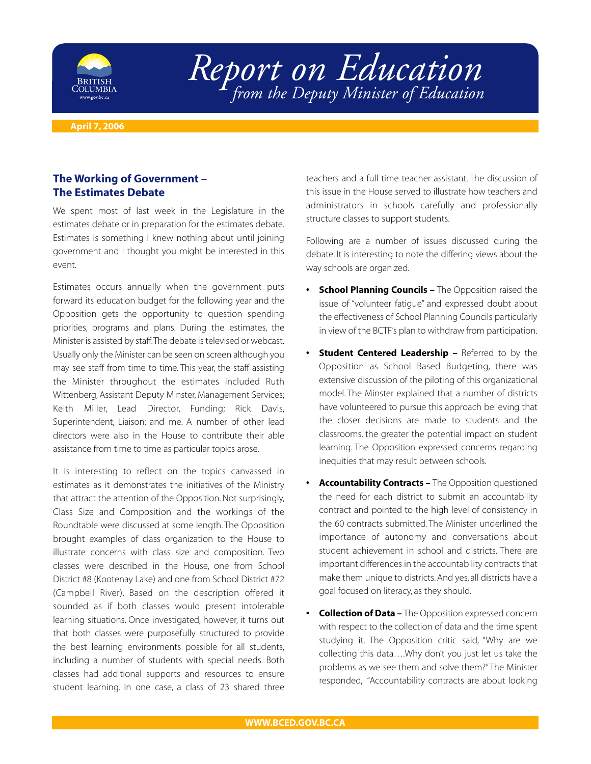

## *Report on Education from the Deputy Minister of Education*

**April 7, 2006**

## **The Working of Government – The Estimates Debate**

We spent most of last week in the Legislature in the estimates debate or in preparation for the estimates debate. Estimates is something I knew nothing about until joining government and I thought you might be interested in this event.

Estimates occurs annually when the government puts forward its education budget for the following year and the Opposition gets the opportunity to question spending priorities, programs and plans. During the estimates, the Minister is assisted by staff.The debate is televised or webcast. Usually only the Minister can be seen on screen although you may see staff from time to time. This year, the staff assisting the Minister throughout the estimates included Ruth Wittenberg, Assistant Deputy Minster, Management Services; Keith Miller, Lead Director, Funding; Rick Davis, Superintendent, Liaison; and me. A number of other lead directors were also in the House to contribute their able assistance from time to time as particular topics arose.

It is interesting to reflect on the topics canvassed in estimates as it demonstrates the initiatives of the Ministry that attract the attention of the Opposition. Not surprisingly, Class Size and Composition and the workings of the Roundtable were discussed at some length. The Opposition brought examples of class organization to the House to illustrate concerns with class size and composition. Two classes were described in the House, one from School District #8 (Kootenay Lake) and one from School District #72 (Campbell River). Based on the description offered it sounded as if both classes would present intolerable learning situations. Once investigated, however, it turns out that both classes were purposefully structured to provide the best learning environments possible for all students, including a number of students with special needs. Both classes had additional supports and resources to ensure student learning. In one case, a class of 23 shared three

teachers and a full time teacher assistant. The discussion of this issue in the House served to illustrate how teachers and administrators in schools carefully and professionally structure classes to support students.

Following are a number of issues discussed during the debate. It is interesting to note the differing views about the way schools are organized.

- **School Planning Councils** The Opposition raised the issue of "volunteer fatigue" and expressed doubt about the effectiveness of School Planning Councils particularly in view of the BCTF's plan to withdraw from participation.
- **Student Centered Leadership Referred to by the** Opposition as School Based Budgeting, there was extensive discussion of the piloting of this organizational model. The Minster explained that a number of districts have volunteered to pursue this approach believing that the closer decisions are made to students and the classrooms, the greater the potential impact on student learning. The Opposition expressed concerns regarding inequities that may result between schools.
- **Accountability Contracts** The Opposition questioned the need for each district to submit an accountability contract and pointed to the high level of consistency in the 60 contracts submitted. The Minister underlined the importance of autonomy and conversations about student achievement in school and districts. There are important differences in the accountability contracts that make them unique to districts. And yes, all districts have a goal focused on literacy, as they should.
- **Collection of Data** The Opposition expressed concern with respect to the collection of data and the time spent studying it. The Opposition critic said, "Why are we collecting this data….Why don't you just let us take the problems as we see them and solve them?"The Minister responded, "Accountability contracts are about looking